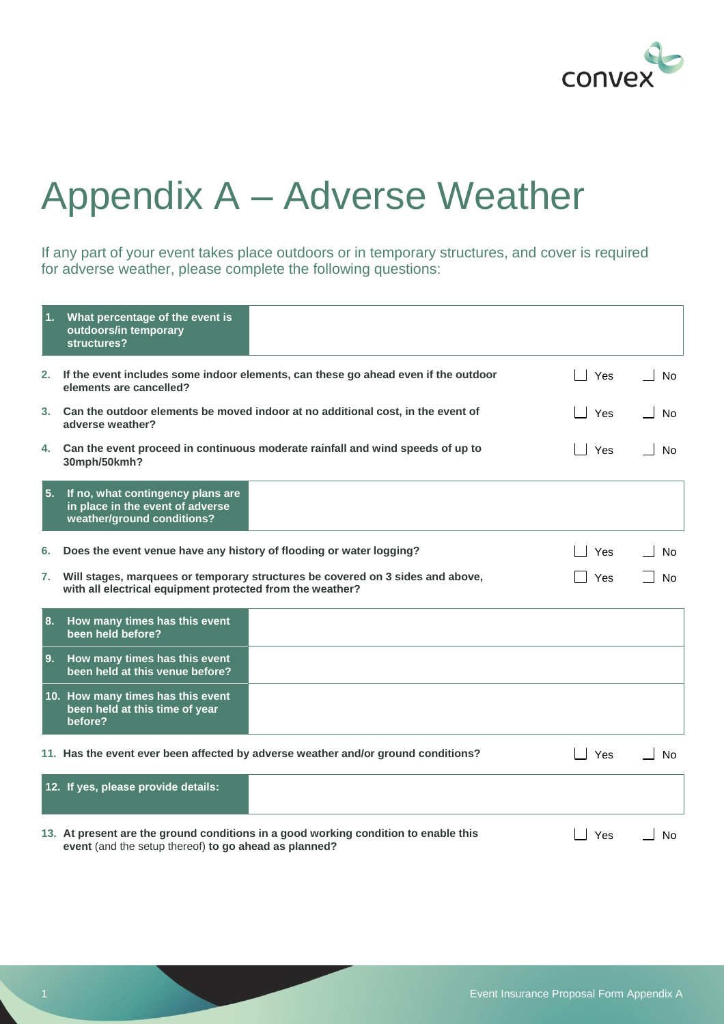

## Appendix A – Adverse Weather

If any part of your event takes place outdoors or in temporary structures, and cover is required for adverse weather, please complete the following questions:

| 1 <sub>1</sub> | What percentage of the event is<br>outdoors/in temporary<br>structures?                                                                      |     |           |
|----------------|----------------------------------------------------------------------------------------------------------------------------------------------|-----|-----------|
| 2.             | If the event includes some indoor elements, can these go ahead even if the outdoor<br>elements are cancelled?                                | Yes | <b>No</b> |
|                | 3. Can the outdoor elements be moved indoor at no additional cost, in the event of<br>adverse weather?                                       | Yes | Nο        |
| 4.             | Can the event proceed in continuous moderate rainfall and wind speeds of up to<br>30mph/50kmh?                                               | Yes | No        |
| 5.             | If no, what contingency plans are<br>in place in the event of adverse<br>weather/ground conditions?                                          |     |           |
| 6.             | Does the event venue have any history of flooding or water logging?                                                                          | Yes | No        |
| 7.             | Will stages, marquees or temporary structures be covered on 3 sides and above,<br>with all electrical equipment protected from the weather?  | Yes | Nο        |
| 8.             | How many times has this event<br>been held before?                                                                                           |     |           |
|                | 9. How many times has this event<br>been held at this venue before?                                                                          |     |           |
|                | 10. How many times has this event<br>been held at this time of year<br>before?                                                               |     |           |
|                | 11. Has the event ever been affected by adverse weather and/or ground conditions?                                                            | Yes | <b>No</b> |
|                | 12. If yes, please provide details:                                                                                                          |     |           |
|                | 13. At present are the ground conditions in a good working condition to enable this<br>event (and the setup thereof) to go ahead as planned? | Yes | No        |